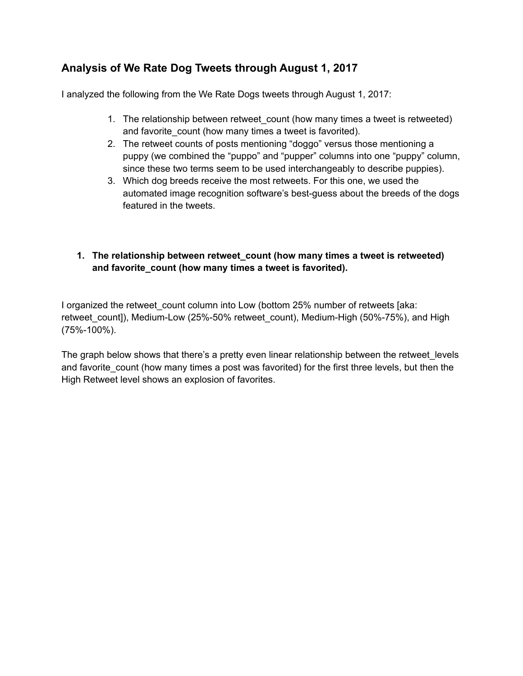# **Analysis of We Rate Dog Tweets through August 1, 2017**

I analyzed the following from the We Rate Dogs tweets through August 1, 2017:

- 1. The relationship between retweet count (how many times a tweet is retweeted) and favorite count (how many times a tweet is favorited).
- 2. The retweet counts of posts mentioning "doggo" versus those mentioning a puppy (we combined the "puppo" and "pupper" columns into one "puppy" column, since these two terms seem to be used interchangeably to describe puppies).
- 3. Which dog breeds receive the most retweets. For this one, we used the automated image recognition software's best-guess about the breeds of the dogs featured in the tweets.

### **1. The relationship between retweet\_count (how many times a tweet is retweeted) and favorite\_count (how many times a tweet is favorited).**

I organized the retweet\_count column into Low (bottom 25% number of retweets [aka: retweet\_count]), Medium-Low (25%-50% retweet\_count), Medium-High (50%-75%), and High (75%-100%).

The graph below shows that there's a pretty even linear relationship between the retweet levels and favorite count (how many times a post was favorited) for the first three levels, but then the High Retweet level shows an explosion of favorites.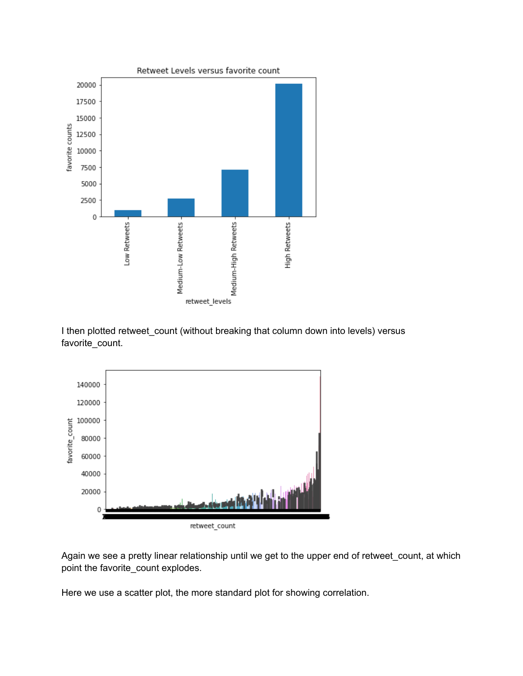

I then plotted retweet\_count (without breaking that column down into levels) versus favorite\_count.



Again we see a pretty linear relationship until we get to the upper end of retweet\_count, at which point the favorite count explodes.

Here we use a scatter plot, the more standard plot for showing correlation.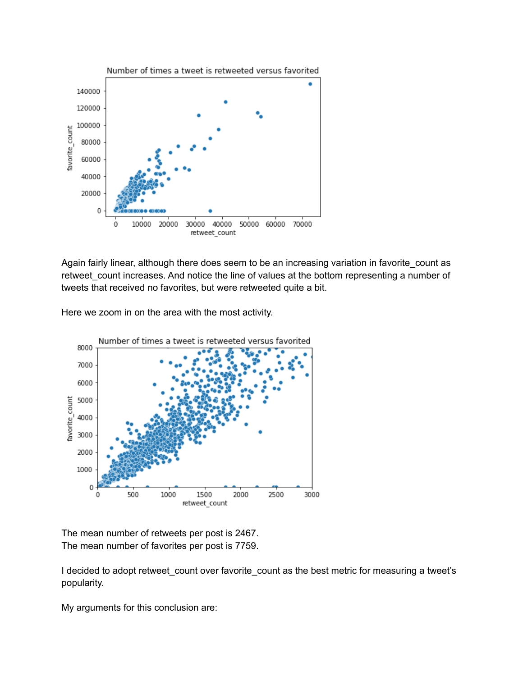

Again fairly linear, although there does seem to be an increasing variation in favorite\_count as retweet\_count increases. And notice the line of values at the bottom representing a number of tweets that received no favorites, but were retweeted quite a bit.

Here we zoom in on the area with the most activity.



The mean number of retweets per post is 2467. The mean number of favorites per post is 7759.

I decided to adopt retweet\_count over favorite\_count as the best metric for measuring a tweet's popularity.

My arguments for this conclusion are: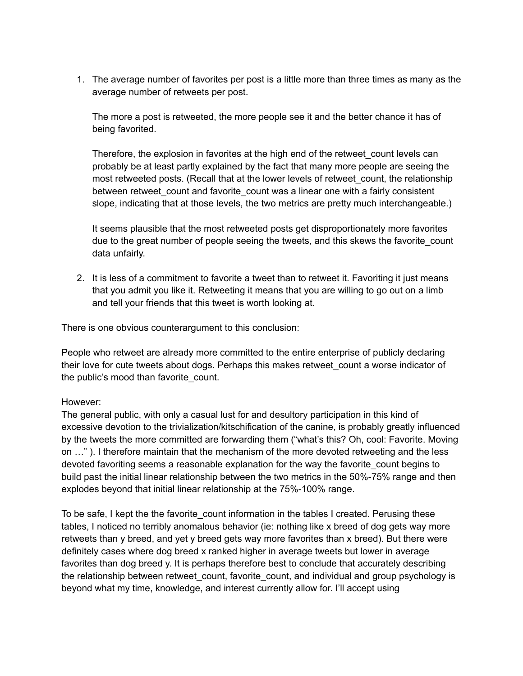1. The average number of favorites per post is a little more than three times as many as the average number of retweets per post.

The more a post is retweeted, the more people see it and the better chance it has of being favorited.

Therefore, the explosion in favorites at the high end of the retweet\_count levels can probably be at least partly explained by the fact that many more people are seeing the most retweeted posts. (Recall that at the lower levels of retweet count, the relationship between retweet count and favorite count was a linear one with a fairly consistent slope, indicating that at those levels, the two metrics are pretty much interchangeable.)

It seems plausible that the most retweeted posts get disproportionately more favorites due to the great number of people seeing the tweets, and this skews the favorite count data unfairly.

2. It is less of a commitment to favorite a tweet than to retweet it. Favoriting it just means that you admit you like it. Retweeting it means that you are willing to go out on a limb and tell your friends that this tweet is worth looking at.

There is one obvious counterargument to this conclusion:

People who retweet are already more committed to the entire enterprise of publicly declaring their love for cute tweets about dogs. Perhaps this makes retweet\_count a worse indicator of the public's mood than favorite\_count.

#### However:

The general public, with only a casual lust for and desultory participation in this kind of excessive devotion to the trivialization/kitschification of the canine, is probably greatly influenced by the tweets the more committed are forwarding them ("what's this? Oh, cool: Favorite. Moving on …" ). I therefore maintain that the mechanism of the more devoted retweeting and the less devoted favoriting seems a reasonable explanation for the way the favorite count begins to build past the initial linear relationship between the two metrics in the 50%-75% range and then explodes beyond that initial linear relationship at the 75%-100% range.

To be safe, I kept the the favorite count information in the tables I created. Perusing these tables, I noticed no terribly anomalous behavior (ie: nothing like x breed of dog gets way more retweets than y breed, and yet y breed gets way more favorites than x breed). But there were definitely cases where dog breed x ranked higher in average tweets but lower in average favorites than dog breed y. It is perhaps therefore best to conclude that accurately describing the relationship between retweet count, favorite count, and individual and group psychology is beyond what my time, knowledge, and interest currently allow for. I'll accept using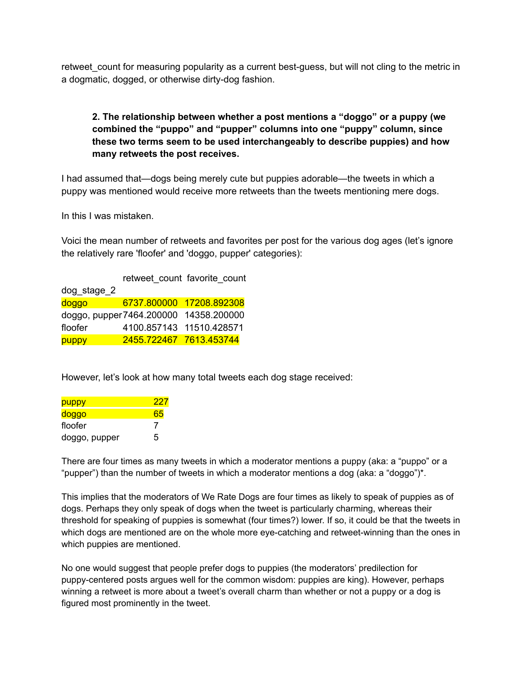retweet count for measuring popularity as a current best-guess, but will not cling to the metric in a dogmatic, dogged, or otherwise dirty-dog fashion.

## **2. The relationship between whether a post mentions a "doggo" or a puppy (we combined the "puppo" and "pupper" columns into one "puppy" column, since these two terms seem to be used interchangeably to describe puppies) and how many retweets the post receives.**

I had assumed that—dogs being merely cute but puppies adorable—the tweets in which a puppy was mentioned would receive more retweets than the tweets mentioning mere dogs.

In this I was mistaken.

Voici the mean number of retweets and favorites per post for the various dog ages (let's ignore the relatively rare 'floofer' and 'doggo, pupper' categories):

|                 |                                        | retweet_count_favorite_count |
|-----------------|----------------------------------------|------------------------------|
| $dog$ stage $2$ |                                        |                              |
| doggo           |                                        | 6737.800000 17208.892308     |
|                 | doggo, pupper 7464.200000 14358.200000 |                              |
| floofer         | 4100.857143 11510.428571               |                              |
| puppy           | 2455.722467 7613.453744                |                              |

However, let's look at how many total tweets each dog stage received:

| puppy         | 227 |
|---------------|-----|
| doggo         | 65  |
| floofer       |     |
| doggo, pupper | 5   |

There are four times as many tweets in which a moderator mentions a puppy (aka: a "puppo" or a "pupper") than the number of tweets in which a moderator mentions a dog (aka: a "doggo")\*.

This implies that the moderators of We Rate Dogs are four times as likely to speak of puppies as of dogs. Perhaps they only speak of dogs when the tweet is particularly charming, whereas their threshold for speaking of puppies is somewhat (four times?) lower. If so, it could be that the tweets in which dogs are mentioned are on the whole more eye-catching and retweet-winning than the ones in which puppies are mentioned.

No one would suggest that people prefer dogs to puppies (the moderators' predilection for puppy-centered posts argues well for the common wisdom: puppies are king). However, perhaps winning a retweet is more about a tweet's overall charm than whether or not a puppy or a dog is figured most prominently in the tweet.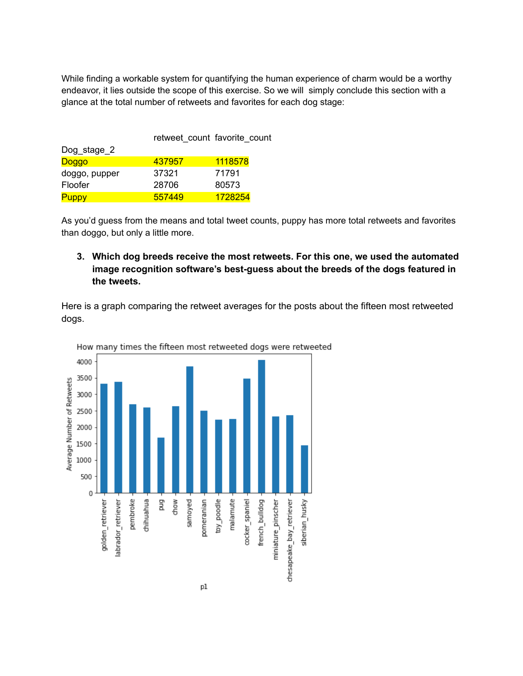While finding a workable system for quantifying the human experience of charm would be a worthy endeavor, it lies outside the scope of this exercise. So we will simply conclude this section with a glance at the total number of retweets and favorites for each dog stage:

|               |        | retweet count favorite count |
|---------------|--------|------------------------------|
| Dog_stage_2   |        |                              |
| Doggo         | 437957 | 1118578                      |
| doggo, pupper | 37321  | 71791                        |
| Floofer       | 28706  | 80573                        |
| <b>Puppy</b>  | 557449 | 1728254                      |

As you'd guess from the means and total tweet counts, puppy has more total retweets and favorites than doggo, but only a little more.

#### **3. Which dog breeds receive the most retweets. For this one, we used the automated image recognition software's best-guess about the breeds of the dogs featured in the tweets.**

Here is a graph comparing the retweet averages for the posts about the fifteen most retweeted dogs.



How many times the fifteen most retweeted dogs were retweeted

p1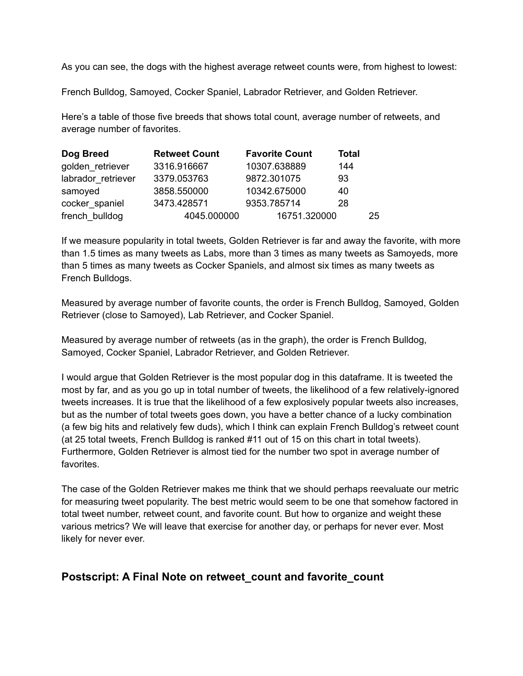As you can see, the dogs with the highest average retweet counts were, from highest to lowest:

French Bulldog, Samoyed, Cocker Spaniel, Labrador Retriever, and Golden Retriever.

Here's a table of those five breeds that shows total count, average number of retweets, and average number of favorites.

| Dog Breed          | <b>Retweet Count</b> | <b>Favorite Count</b> | <b>Total</b> |    |
|--------------------|----------------------|-----------------------|--------------|----|
| golden_retriever   | 3316.916667          | 10307.638889          | 144          |    |
| labrador retriever | 3379.053763          | 9872.301075           | 93           |    |
| samoyed            | 3858.550000          | 10342.675000          | 40           |    |
| cocker spaniel     | 3473.428571          | 9353.785714           | 28           |    |
| french bulldog     | 4045.000000          | 16751.320000          |              | 25 |

If we measure popularity in total tweets, Golden Retriever is far and away the favorite, with more than 1.5 times as many tweets as Labs, more than 3 times as many tweets as Samoyeds, more than 5 times as many tweets as Cocker Spaniels, and almost six times as many tweets as French Bulldogs.

Measured by average number of favorite counts, the order is French Bulldog, Samoyed, Golden Retriever (close to Samoyed), Lab Retriever, and Cocker Spaniel.

Measured by average number of retweets (as in the graph), the order is French Bulldog, Samoyed, Cocker Spaniel, Labrador Retriever, and Golden Retriever.

I would argue that Golden Retriever is the most popular dog in this dataframe. It is tweeted the most by far, and as you go up in total number of tweets, the likelihood of a few relatively-ignored tweets increases. It is true that the likelihood of a few explosively popular tweets also increases, but as the number of total tweets goes down, you have a better chance of a lucky combination (a few big hits and relatively few duds), which I think can explain French Bulldog's retweet count (at 25 total tweets, French Bulldog is ranked #11 out of 15 on this chart in total tweets). Furthermore, Golden Retriever is almost tied for the number two spot in average number of favorites.

The case of the Golden Retriever makes me think that we should perhaps reevaluate our metric for measuring tweet popularity. The best metric would seem to be one that somehow factored in total tweet number, retweet count, and favorite count. But how to organize and weight these various metrics? We will leave that exercise for another day, or perhaps for never ever. Most likely for never ever.

# **Postscript: A Final Note on retweet\_count and favorite\_count**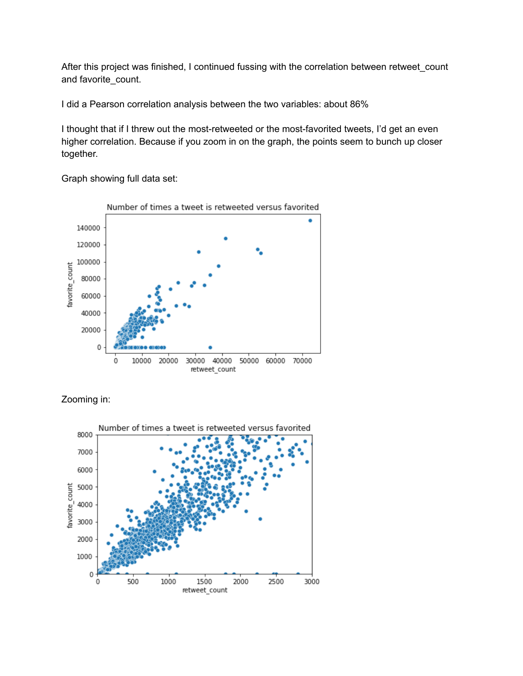After this project was finished, I continued fussing with the correlation between retweet\_count and favorite\_count.

I did a Pearson correlation analysis between the two variables: about 86%

I thought that if I threw out the most-retweeted or the most-favorited tweets, I'd get an even higher correlation. Because if you zoom in on the graph, the points seem to bunch up closer together.

Graph showing full data set:





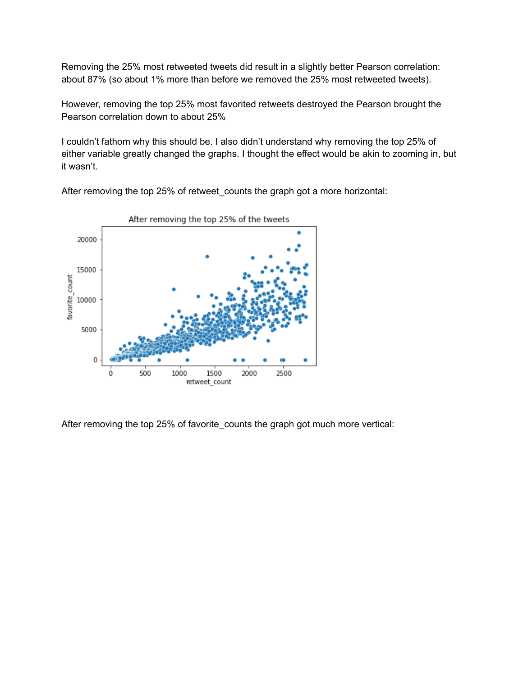Removing the 25% most retweeted tweets did result in a slightly better Pearson correlation: about 87% (so about 1% more than before we removed the 25% most retweeted tweets).

However, removing the top 25% most favorited retweets destroyed the Pearson brought the Pearson correlation down to about 25%

I couldn't fathom why this should be. I also didn't understand why removing the top 25% of either variable greatly changed the graphs. I thought the effect would be akin to zooming in, but it wasn't.



After removing the top 25% of retweet\_counts the graph got a more horizontal:

After removing the top 25% of favorite\_counts the graph got much more vertical: